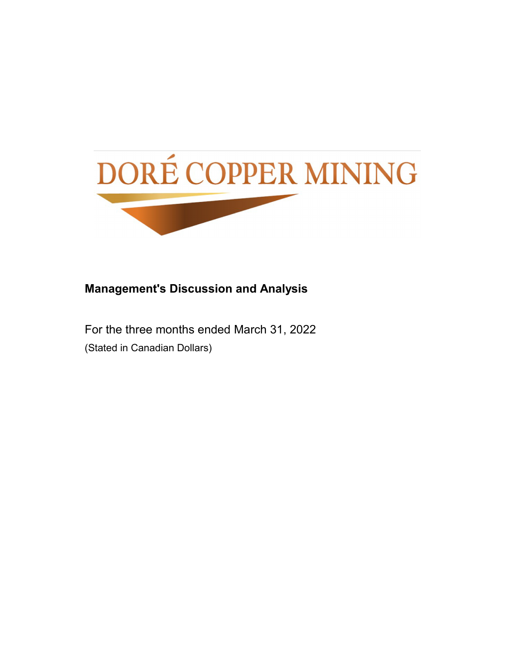

## **Management's Discussion and Analysis**

For the three months ended March 31, 2022 (Stated in Canadian Dollars)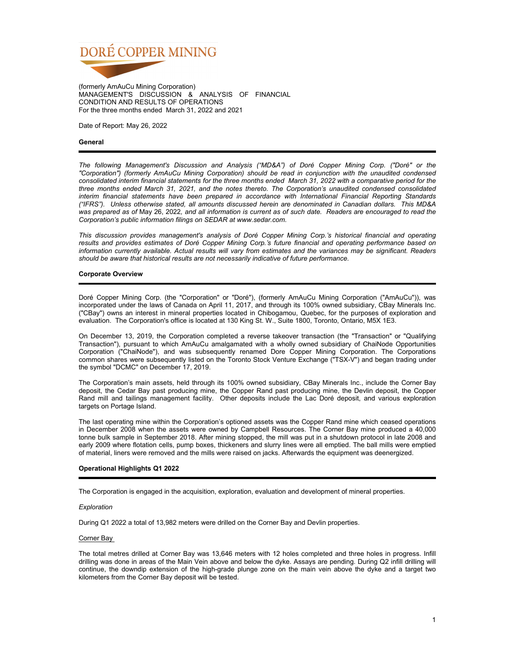

(formerly AmAuCu Mining Corporation) MANAGEMENT'S DISCUSSION & ANALYSIS OF FINANCIAL CONDITION AND RESULTS OF OPERATIONS For the three months ended March 31, 2022 and 2021

Date of Report: May 26, 2022

## **General**

*The following Management's Discussion and Analysis ("MD&A") of Doré Copper Mining Corp. ("Doré" or the "Corporation") (formerly AmAuCu Mining Corporation) should be read in conjunction with the unaudited condensed consolidated interim financial statements for the three months ended March 31, 2022 with a comparative period for the three months ended March 31, 2021, and the notes thereto. The Corporation's unaudited condensed consolidated interim financial statements have been prepared in accordance with International Financial Reporting Standards ("IFRS"). Unless otherwise stated, all amounts discussed herein are denominated in Canadian dollars. This MD&A was prepared as of* May 26, 2022*, and all information is current as of such date. Readers are encouraged to read the Corporation's public information filings on SEDAR at www.sedar.com.* 

*This discussion provides management's analysis of Doré Copper Mining Corp.'s historical financial and operating results and provides estimates of Doré Copper Mining Corp.'s future financial and operating performance based on information currently available. Actual results will vary from estimates and the variances may be significant. Readers should be aware that historical results are not necessarily indicative of future performance.*

## **Corporate Overview**

Doré Copper Mining Corp. (the "Corporation" or "Doré"), (formerly AmAuCu Mining Corporation ("AmAuCu")), was incorporated under the laws of Canada on April 11, 2017, and through its 100% owned subsidiary, CBay Minerals Inc. ("CBay") owns an interest in mineral properties located in Chibogamou, Quebec, for the purposes of exploration and evaluation. The Corporation's office is located at 130 King St. W., Suite 1800, Toronto, Ontario, M5X 1E3.

On December 13, 2019, the Corporation completed a reverse takeover transaction (the "Transaction" or "Qualifying Transaction"), pursuant to which AmAuCu amalgamated with a wholly owned subsidiary of ChaiNode Opportunities Corporation ("ChaiNode"), and was subsequently renamed Dore Copper Mining Corporation. The Corporations common shares were subsequently listed on the Toronto Stock Venture Exchange ("TSX-V") and began trading under the symbol "DCMC" on December 17, 2019.

The Corporation's main assets, held through its 100% owned subsidiary, CBay Minerals Inc., include the Corner Bay deposit, the Cedar Bay past producing mine, the Copper Rand past producing mine, the Devlin deposit, the Copper Rand mill and tailings management facility. Other deposits include the Lac Doré deposit, and various exploration targets on Portage Island.

The last operating mine within the Corporation's optioned assets was the Copper Rand mine which ceased operations in December 2008 when the assets were owned by Campbell Resources. The Corner Bay mine produced a 40,000 tonne bulk sample in September 2018. After mining stopped, the mill was put in a shutdown protocol in late 2008 and early 2009 where flotation cells, pump boxes, thickeners and slurry lines were all emptied. The ball mills were emptied of material, liners were removed and the mills were raised on jacks. Afterwards the equipment was deenergized.

## **Operational Highlights Q1 2022**

The Corporation is engaged in the acquisition, exploration, evaluation and development of mineral properties.

## *Exploration*

During Q1 2022 a total of 13,982 meters were drilled on the Corner Bay and Devlin properties.

## Corner Bay

The total metres drilled at Corner Bay was 13,646 meters with 12 holes completed and three holes in progress. Infill drilling was done in areas of the Main Vein above and below the dyke. Assays are pending. During Q2 infill drilling will continue, the downdip extension of the high-grade plunge zone on the main vein above the dyke and a target two kilometers from the Corner Bay deposit will be tested.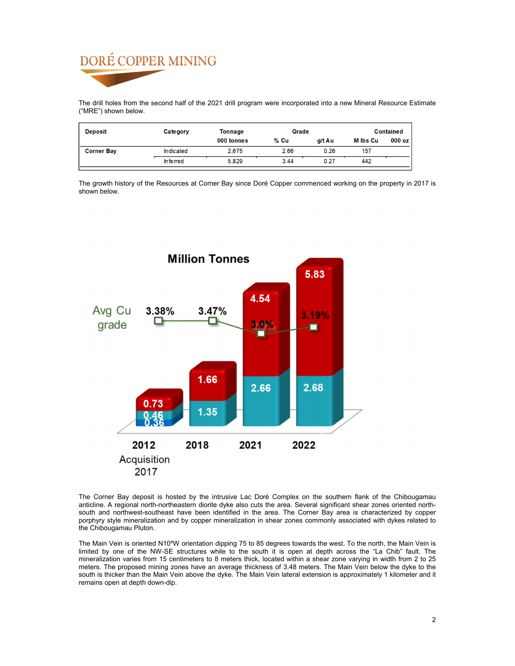The drill holes from the second half of the 2021 drill program were incorporated into a new Mineral Resource Estimate ("MRE") shown below.

| <b>Deposit</b>    | Category  | Tonnage    | Grade  |        |          | Contained |
|-------------------|-----------|------------|--------|--------|----------|-----------|
|                   |           | 000 tonnes | $%$ Cu | a/t Au | M Ibs Cu | 000 oz    |
| <b>Corner Bay</b> | Indicated | 2.675      | 2.66   | 0.26   | 157      |           |
|                   | In ferred | 5.829      | 3.44   | 0.27   | 442      |           |

The growth history of the Resources at Corner Bay since Doré Copper commenced working on the property in 2017 is shown below.



The Corner Bay deposit is hosted by the intrusive Lac Doré Complex on the southern flank of the Chibougamau anticline. A regional north-northeastern diorite dyke also cuts the area. Several significant shear zones oriented northsouth and northwest-southeast have been identified in the area. The Corner Bay area is characterized by copper porphyry style mineralization and by copper mineralization in shear zones commonly associated with dykes related to the Chibougamau Pluton.

The Main Vein is oriented N10ºW orientation dipping 75 to 85 degrees towards the west. To the north, the Main Vein is limited by one of the NW-SE structures while to the south it is open at depth across the "La Chib" fault. The mineralization varies from 15 centimeters to 8 meters thick, located within a shear zone varying in width from 2 to 25 meters. The proposed mining zones have an average thickness of 3.48 meters. The Main Vein below the dyke to the south is thicker than the Main Vein above the dyke. The Main Vein lateral extension is approximately 1 kilometer and it remains open at depth down-dip.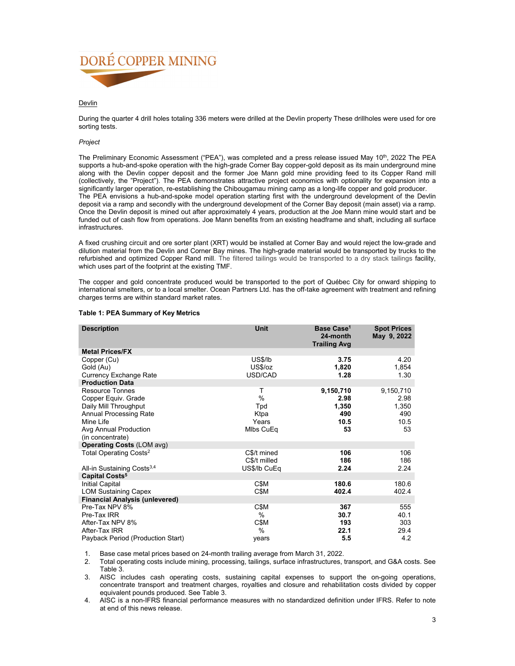

## **Devlin**

During the quarter 4 drill holes totaling 336 meters were drilled at the Devlin property These drillholes were used for ore sorting tests.

## *Project*

The Preliminary Economic Assessment ("PEA"), was completed and a press release issued May 10<sup>th</sup>, 2022 The PEA supports a hub-and-spoke operation with the high-grade Corner Bay copper-gold deposit as its main underground mine along with the Devlin copper deposit and the former Joe Mann gold mine providing feed to its Copper Rand mill (collectively, the "Project"). The PEA demonstrates attractive project economics with optionality for expansion into a significantly larger operation, re-establishing the Chibougamau mining camp as a long-life copper and gold producer. The PEA envisions a hub-and-spoke model operation starting first with the underground development of the Devlin deposit via a ramp and secondly with the underground development of the Corner Bay deposit (main asset) via a ramp. Once the Devlin deposit is mined out after approximately 4 years, production at the Joe Mann mine would start and be funded out of cash flow from operations. Joe Mann benefits from an existing headframe and shaft, including all surface infrastructures.

A fixed crushing circuit and ore sorter plant (XRT) would be installed at Corner Bay and would reject the low-grade and dilution material from the Devlin and Corner Bay mines. The high-grade material would be transported by trucks to the refurbished and optimized Copper Rand mill. The filtered tailings would be transported to a dry stack tailings facility, which uses part of the footprint at the existing TMF.

The copper and gold concentrate produced would be transported to the port of Québec City for onward shipping to international smelters, or to a local smelter. Ocean Partners Ltd. has the off-take agreement with treatment and refining charges terms are within standard market rates.

| <b>Description</b>                     | <b>Unit</b>  | Base Case <sup>1</sup><br>24-month<br><b>Trailing Avg</b> | <b>Spot Prices</b><br>May 9, 2022 |
|----------------------------------------|--------------|-----------------------------------------------------------|-----------------------------------|
| <b>Metal Prices/FX</b>                 |              |                                                           |                                   |
| Copper (Cu)                            | US\$/lb      | 3.75                                                      | 4.20                              |
| Gold (Au)                              | US\$/oz      | 1,820                                                     | 1,854                             |
| Currency Exchange Rate                 | USD/CAD      | 1.28                                                      | 1.30                              |
| <b>Production Data</b>                 |              |                                                           |                                   |
| <b>Resource Tonnes</b>                 | т            | 9,150,710                                                 | 9,150,710                         |
| Copper Equiv. Grade                    | %            | 2.98                                                      | 2.98                              |
| Daily Mill Throughput                  | Tpd          | 1,350                                                     | 1,350                             |
| <b>Annual Processing Rate</b>          | Ktpa         | 490                                                       | 490                               |
| Mine Life                              | Years        | 10.5                                                      | 10.5                              |
| Avg Annual Production                  | Mlbs CuEq    | 53                                                        | 53                                |
| (in concentrate)                       |              |                                                           |                                   |
| <b>Operating Costs (LOM avg)</b>       |              |                                                           |                                   |
| Total Operating Costs <sup>2</sup>     | C\$/t mined  | 106                                                       | 106                               |
|                                        | C\$/t milled | 186                                                       | 186                               |
| All-in Sustaining Costs <sup>3,4</sup> | US\$/lb CuEq | 2.24                                                      | 2.24                              |
| Capital Costs <sup>5</sup>             |              |                                                           |                                   |
| <b>Initial Capital</b>                 | C\$M         | 180.6                                                     | 180.6                             |
| <b>LOM Sustaining Capex</b>            | C\$M         | 402.4                                                     | 402.4                             |
| <b>Financial Analysis (unlevered)</b>  |              |                                                           |                                   |
| Pre-Tax NPV 8%                         | C\$M         | 367                                                       | 555                               |
| Pre-Tax IRR                            | $\%$         | 30.7                                                      | 40.1                              |
| After-Tax NPV 8%                       | C\$M         | 193                                                       | 303                               |
| After-Tax IRR                          | $\%$         | 22.1                                                      | 29.4                              |
| Payback Period (Production Start)      | years        | 5.5                                                       | 4.2                               |

## **Table 1: PEA Summary of Key Metrics**

1. Base case metal prices based on 24-month trailing average from March 31, 2022.

2. Total operating costs include mining, processing, tailings, surface infrastructures, transport, and G&A costs. See Table 3.

3. AISC includes cash operating costs, sustaining capital expenses to support the on-going operations, concentrate transport and treatment charges, royalties and closure and rehabilitation costs divided by copper equivalent pounds produced. See Table 3.

4. AISC is a non-IFRS financial performance measures with no standardized definition under IFRS. Refer to note at end of this news release.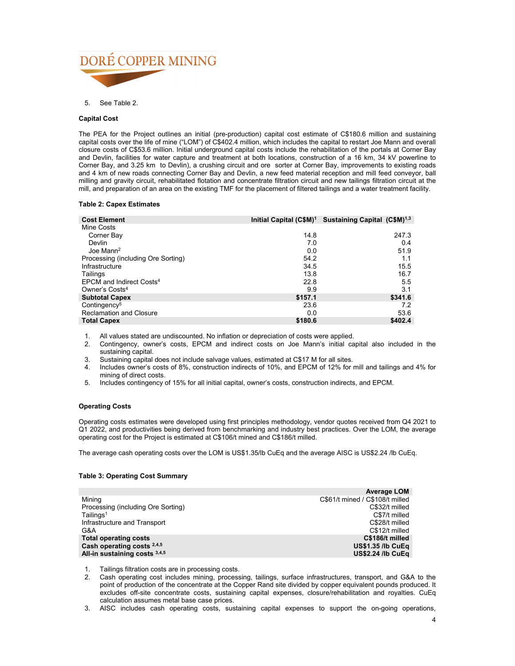

5. See Table 2.

## **Capital Cost**

The PEA for the Project outlines an initial (pre-production) capital cost estimate of C\$180.6 million and sustaining capital costs over the life of mine ("LOM") of C\$402.4 million, which includes the capital to restart Joe Mann and overall closure costs of C\$53.6 million. Initial underground capital costs include the rehabilitation of the portals at Corner Bay and Devlin, facilities for water capture and treatment at both locations, construction of a 16 km, 34 kV powerline to Corner Bay, and 3.25 km to Devlin), a crushing circuit and ore sorter at Corner Bay, improvements to existing roads and 4 km of new roads connecting Corner Bay and Devlin, a new feed material reception and mill feed conveyor, ball milling and gravity circuit, rehabilitated flotation and concentrate filtration circuit and new tailings filtration circuit at the mill, and preparation of an area on the existing TMF for the placement of filtered tailings and a water treatment facility.

## **Table 2: Capex Estimates**

| <b>Cost Element</b>                  | Initial Capital (C\$M) <sup>1</sup> | Sustaining Capital (C\$M) <sup>1,3</sup> |
|--------------------------------------|-------------------------------------|------------------------------------------|
| Mine Costs                           |                                     |                                          |
| Corner Bay                           | 14.8                                | 247.3                                    |
| Devlin                               | 7.0                                 | 0.4                                      |
| Joe Mann <sup>2</sup>                | 0.0                                 | 51.9                                     |
| Processing (including Ore Sorting)   | 54.2                                | 1.1                                      |
| Infrastructure                       | 34.5                                | 15.5                                     |
| Tailings                             | 13.8                                | 16.7                                     |
| FPCM and Indirect Costs <sup>4</sup> | 22.8                                | 5.5                                      |
| Owner's Costs <sup>4</sup>           | 9.9                                 | 3.1                                      |
| <b>Subtotal Capex</b>                | \$157.1                             | \$341.6                                  |
| Contingency <sup>5</sup>             | 23.6                                | 7.2                                      |
| <b>Reclamation and Closure</b>       | 0.0                                 | 53.6                                     |
| <b>Total Capex</b>                   | \$180.6                             | \$402.4                                  |

1. All values stated are undiscounted. No inflation or depreciation of costs were applied.

2. Contingency, owner's costs, EPCM and indirect costs on Joe Mann's initial capital also included in the sustaining capital.

- 3. Sustaining capital does not include salvage values, estimated at C\$17 M for all sites.
- 4. Includes owner's costs of 8%, construction indirects of 10%, and EPCM of 12% for mill and tailings and 4% for mining of direct costs.
- 5. Includes contingency of 15% for all initial capital, owner's costs, construction indirects, and EPCM.

## **Operating Costs**

Operating costs estimates were developed using first principles methodology, vendor quotes received from Q4 2021 to Q1 2022, and productivities being derived from benchmarking and industry best practices. Over the LOM, the average operating cost for the Project is estimated at C\$106/t mined and C\$186/t milled.

The average cash operating costs over the LOM is US\$1.35/lb CuEq and the average AISC is US\$2.24 /lb CuEq.

## **Table 3: Operating Cost Summary**

|                                    | <b>Average LOM</b>              |
|------------------------------------|---------------------------------|
| Mining                             | C\$61/t mined / C\$108/t milled |
| Processing (including Ore Sorting) | C\$32/t milled                  |
| $T$ ailings <sup>1</sup>           | C\$7/t milled                   |
| Infrastructure and Transport       | C\$28/t milled                  |
| G&A                                | C\$12/t milled                  |
| <b>Total operating costs</b>       | C\$186/t milled                 |
| Cash operating costs $2,4,5$       | <b>US\$1.35 /lb CuEq</b>        |
| All-in sustaining costs $3,4,5$    | <b>US\$2.24 /lb CuEq</b>        |

1. Tailings filtration costs are in processing costs.

2. Cash operating cost includes mining, processing, tailings, surface infrastructures, transport, and G&A to the point of production of the concentrate at the Copper Rand site divided by copper equivalent pounds produced. It excludes off-site concentrate costs, sustaining capital expenses, closure/rehabilitation and royalties. CuEq calculation assumes metal base case prices.

3. AISC includes cash operating costs, sustaining capital expenses to support the on-going operations,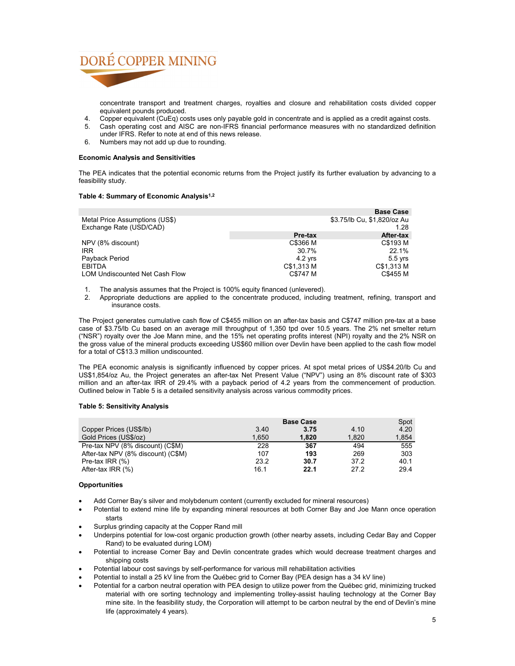

concentrate transport and treatment charges, royalties and closure and rehabilitation costs divided copper equivalent pounds produced.

- 
- 4. Copper equivalent (CuEq) costs uses only payable gold in concentrate and is applied as a credit against costs. 5. Cash operating cost and AISC are non-IFRS financial performance measures with no standardized definition under IFRS. Refer to note at end of this news release.
- 6. Numbers may not add up due to rounding.

## **Economic Analysis and Sensitivities**

The PEA indicates that the potential economic returns from the Project justify its further evaluation by advancing to a feasibility study.

## **Table 4: Summary of Economic Analysis1,2**

|                                                           |            | <b>Base Case</b>                    |
|-----------------------------------------------------------|------------|-------------------------------------|
| Metal Price Assumptions (US\$)<br>Exchange Rate (USD/CAD) |            | \$3.75/lb Cu, \$1,820/oz Au<br>1.28 |
|                                                           | Pre-tax    | After-tax                           |
| NPV (8% discount)                                         | C\$366 M   | C\$193 M                            |
| <b>IRR</b>                                                | 30.7%      | 22.1%                               |
| Payback Period                                            | $4.2$ vrs  | $5.5$ yrs                           |
| <b>EBITDA</b>                                             | C\$1,313 M | C\$1,313 M                          |
| <b>LOM Undiscounted Net Cash Flow</b>                     | C\$747 M   | C\$455 M                            |

- 1. The analysis assumes that the Project is 100% equity financed (unlevered).
- 2. Appropriate deductions are applied to the concentrate produced, including treatment, refining, transport and insurance costs.

The Project generates cumulative cash flow of C\$455 million on an after-tax basis and C\$747 million pre-tax at a base case of \$3.75/lb Cu based on an average mill throughput of 1,350 tpd over 10.5 years. The 2% net smelter return ("NSR") royalty over the Joe Mann mine, and the 15% net operating profits interest (NPI) royalty and the 2% NSR on the gross value of the mineral products exceeding US\$60 million over Devlin have been applied to the cash flow model for a total of C\$13.3 million undiscounted.

The PEA economic analysis is significantly influenced by copper prices. At spot metal prices of US\$4.20/lb Cu and US\$1,854/oz Au, the Project generates an after-tax Net Present Value ("NPV") using an 8% discount rate of \$303 million and an after-tax IRR of 29.4% with a payback period of 4.2 years from the commencement of production. Outlined below in Table 5 is a detailed sensitivity analysis across various commodity prices.

## **Table 5: Sensitivity Analysis**

|                                    |       | <b>Base Case</b> |       | Spot  |
|------------------------------------|-------|------------------|-------|-------|
| Copper Prices (US\$/lb)            | 3.40  | 3.75             | 4.10  | 4.20  |
| Gold Prices (US\$/oz)              | 1.650 | 1.820            | 1,820 | 1,854 |
| Pre-tax NPV (8% discount) (C\$M)   | 228   | 367              | 494   | 555   |
| After-tax NPV (8% discount) (C\$M) | 107   | 193              | 269   | 303   |
| Pre-tax IRR $(\%)$                 | 23.2  | 30.7             | 37.2  | 40.1  |
| After-tax IRR (%)                  | 16.1  | 22.1             | 27.2  | 29.4  |

## **Opportunities**

- Add Corner Bay's silver and molybdenum content (currently excluded for mineral resources)
- Potential to extend mine life by expanding mineral resources at both Corner Bay and Joe Mann once operation starts
- Surplus grinding capacity at the Copper Rand mill
- Underpins potential for low-cost organic production growth (other nearby assets, including Cedar Bay and Copper Rand) to be evaluated during LOM)
- Potential to increase Corner Bay and Devlin concentrate grades which would decrease treatment charges and shipping costs
- Potential labour cost savings by self-performance for various mill rehabilitation activities
- Potential to install a 25 kV line from the Québec grid to Corner Bay (PEA design has a 34 kV line)
- Potential for a carbon neutral operation with PEA design to utilize power from the Québec grid, minimizing trucked material with ore sorting technology and implementing trolley-assist hauling technology at the Corner Bay mine site. In the feasibility study, the Corporation will attempt to be carbon neutral by the end of Devlin's mine life (approximately 4 years).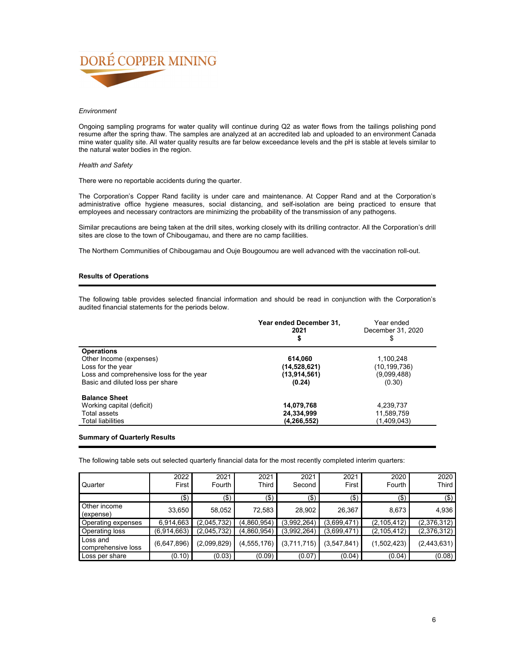

## *Environment*

Ongoing sampling programs for water quality will continue during Q2 as water flows from the tailings polishing pond resume after the spring thaw. The samples are analyzed at an accredited lab and uploaded to an environment Canada mine water quality site. All water quality results are far below exceedance levels and the pH is stable at levels similar to the natural water bodies in the region.

## *Health and Safety*

There were no reportable accidents during the quarter.

The Corporation's Copper Rand facility is under care and maintenance. At Copper Rand and at the Corporation's administrative office hygiene measures, social distancing, and self-isolation are being practiced to ensure that employees and necessary contractors are minimizing the probability of the transmission of any pathogens.

Similar precautions are being taken at the drill sites, working closely with its drilling contractor. All the Corporation's drill sites are close to the town of Chibougamau, and there are no camp facilities.

The Northern Communities of Chibougamau and Ouje Bougoumou are well advanced with the vaccination roll-out.

## **Results of Operations**

The following table provides selected financial information and should be read in conjunction with the Corporation's audited financial statements for the periods below.

|                                          | Year ended December 31,<br>2021<br>\$ | Year ended<br>December 31, 2020<br>S |
|------------------------------------------|---------------------------------------|--------------------------------------|
| <b>Operations</b>                        |                                       |                                      |
| Other Income (expenses)                  | 614,060                               | 1,100,248                            |
| Loss for the year                        | (14,528,621)                          | (10, 199, 736)                       |
| Loss and comprehensive loss for the year | (13,914,561)                          | (9,099,488)                          |
| Basic and diluted loss per share         | (0.24)                                | (0.30)                               |
| <b>Balance Sheet</b>                     |                                       |                                      |
| Working capital (deficit)                | 14,079,768                            | 4,239,737                            |
| Total assets                             | 24,334,999                            | 11,589,759                           |
| <b>Total liabilities</b>                 | (4,266,552)                           | (1,409,043)                          |

### **Summary of Quarterly Results**

The following table sets out selected quarterly financial data for the most recently completed interim quarters:

| Quarter                        | 2022<br>First | 2021<br>Fourth | 2021<br>Third | 2021<br>Second | 2021<br>First | 2020<br>Fourth | 2020<br>Third |
|--------------------------------|---------------|----------------|---------------|----------------|---------------|----------------|---------------|
|                                | (\$)          | $($ \$)        | (\$)          | (\$)           | $($ \$)       | $($ \$)        | $($ \$) $ $   |
| Other income<br>(expense)      | 33,650        | 58,052         | 72,583        | 28,902         | 26,367        | 8,673          | 4,936         |
| Operating expenses             | 6,914,663     | (2.045.732)    | (4.860.954)   | (3,992,264)    | (3,699,471)   | (2, 105, 412)  | (2,376,312)   |
| Operating loss                 | (6.914.663)   | (2,045,732)    | (4,860,954)   | (3,992,264)    | (3,699,471)   | (2, 105, 412)  | (2,376,312)   |
| Loss and<br>comprehensive loss | (6,647,896)   | (2,099,829)    | (4,555,176)   | (3,711,715)    | (3,547,841)   | (1,502,423)    | (2,443,631)   |
| Loss per share                 | (0.10)        | (0.03)         | (0.09)        | (0.07)         | (0.04)        | (0.04)         | (0.08)        |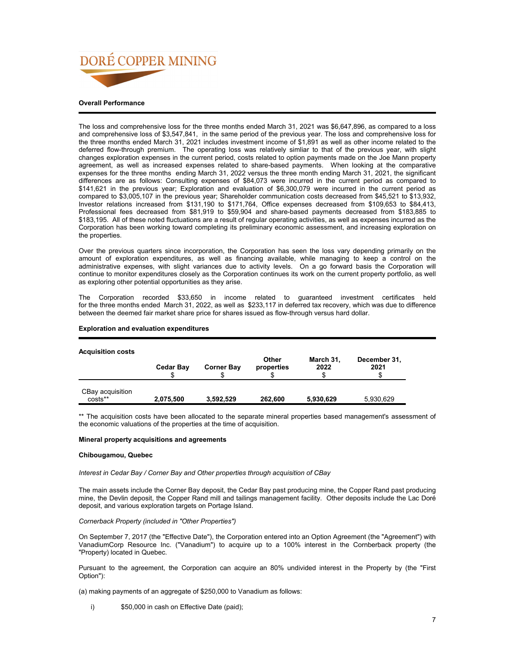

## The loss and comprehensive loss for the three months ended March 31, 2021 was \$6,647,896, as compared to a loss and comprehensive loss of \$3,547,841, in the same period of the previous year. The loss and comprehensive loss for the three months ended March 31, 2021 includes investment income of \$1,891 as well as other income related to the deferred flow-through premium. The operating loss was relatively simliar to that of the previous year, with slight changes exploration expenses in the current period, costs related to option payments made on the Joe Mann property agreement, as well as increased expenses related to share-based payments. When looking at the comparative expenses for the three months ending March 31, 2022 versus the three month ending March 31, 2021, the significant differences are as follows: Consulting expenses of \$84,073 were incurred in the current period as compared to \$141,621 in the previous year; Exploration and evaluation of \$6,300,079 were incurred in the current period as compared to \$3,005,107 in the previous year; Shareholder communication costs decreased from \$45,521 to \$13,932, Investor relations increased from \$131,190 to \$171,764, Office expenses decreased from \$109,653 to \$84,413, Professional fees decreased from \$81,919 to \$59,904 and share-based payments decreased from \$183,885 to \$183,195. All of these noted fluctuations are a result of regular operating activities, as well as expenses incurred as the Corporation has been working toward completing its preliminary economic assessment, and increasing exploration on the properties.

Over the previous quarters since incorporation, the Corporation has seen the loss vary depending primarily on the amount of exploration expenditures, as well as financing available, while managing to keep a control on the administrative expenses, with slight variances due to activity levels. On a go forward basis the Corporation will continue to monitor expenditures closely as the Corporation continues its work on the current property portfolio, as well as exploring other potential opportunities as they arise.

The Corporation recorded \$33,650 in income related to guaranteed investment certificates held for the three months ended March 31, 2022, as well as \$233,117 in deferred tax recovery, which was due to difference between the deemed fair market share price for shares issued as flow-through versus hard dollar.

## **Exploration and evaluation expenditures**

## **Acquisition costs**

| Avyulaluvii vuola           | <b>Cedar Bay</b> | <b>Corner Bay</b> | Other<br>properties | March 31,<br>2022 | December 31,<br>2021 |
|-----------------------------|------------------|-------------------|---------------------|-------------------|----------------------|
| CBay acquisition<br>costs** | 2.075.500        | 3,592,529         | 262.600             | 5,930,629         | 5,930,629            |

\*\* The acquisition costs have been allocated to the separate mineral properties based management's assessment of the economic valuations of the properties at the time of acquisition.

## **Mineral property acquisitions and agreements**

## **Chibougamou, Quebec**

*Interest in Cedar Bay / Corner Bay and Other properties through acquisition of CBay*

The main assets include the Corner Bay deposit, the Cedar Bay past producing mine, the Copper Rand past producing mine, the Devlin deposit, the Copper Rand mill and tailings management facility. Other deposits include the Lac Doré deposit, and various exploration targets on Portage Island.

## *Cornerback Property (included in "Other Properties")*

On September 7, 2017 (the "Effective Date"), the Corporation entered into an Option Agreement (the "Agreement") with VanadiumCorp Resource Inc. ("Vanadium") to acquire up to a 100% interest in the Cornberback property (the "Property) located in Quebec.

Pursuant to the agreement, the Corporation can acquire an 80% undivided interest in the Property by (the "First Option"):

(a) making payments of an aggregate of \$250,000 to Vanadium as follows:

i) \$50,000 in cash on Effective Date (paid);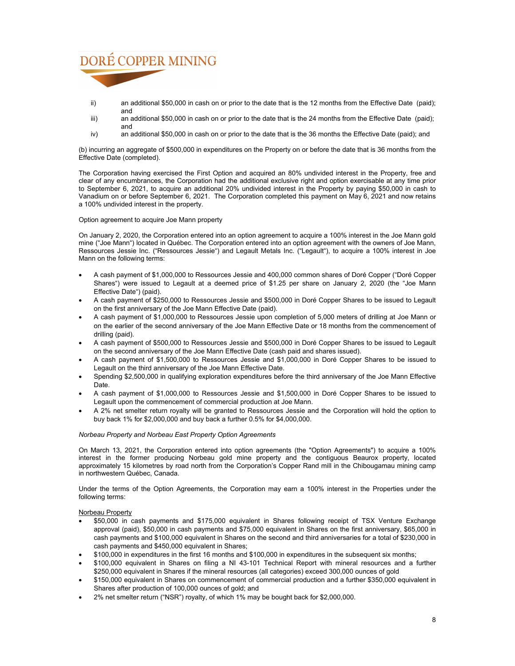

- ii) an additional \$50,000 in cash on or prior to the date that is the 12 months from the Effective Date (paid); and
- iii) an additional \$50,000 in cash on or prior to the date that is the 24 months from the Effective Date (paid); and
- iv) an additional \$50,000 in cash on or prior to the date that is the 36 months the Effective Date (paid); and

(b) incurring an aggregate of \$500,000 in expenditures on the Property on or before the date that is 36 months from the Effective Date (completed).

The Corporation having exercised the First Option and acquired an 80% undivided interest in the Property, free and clear of any encumbrances, the Corporation had the additional exclusive right and option exercisable at any time prior to September 6, 2021, to acquire an additional 20% undivided interest in the Property by paying \$50,000 in cash to Vanadium on or before September 6, 2021. The Corporation completed this payment on May 6, 2021 and now retains a 100% undivided interest in the property.

Option agreement to acquire Joe Mann property

On January 2, 2020, the Corporation entered into an option agreement to acquire a 100% interest in the Joe Mann gold mine ("Joe Mann") located in Québec. The Corporation entered into an option agreement with the owners of Joe Mann, Ressources Jessie Inc. ("Ressources Jessie") and Legault Metals Inc. ("Legault"), to acquire a 100% interest in Joe Mann on the following terms:

- A cash payment of \$1,000,000 to Ressources Jessie and 400,000 common shares of Doré Copper ("Doré Copper Shares") were issued to Legault at a deemed price of \$1.25 per share on January 2, 2020 (the "Joe Mann Effective Date") (paid).
- A cash payment of \$250,000 to Ressources Jessie and \$500,000 in Doré Copper Shares to be issued to Legault on the first anniversary of the Joe Mann Effective Date (paid).
- A cash payment of \$1,000,000 to Ressources Jessie upon completion of 5,000 meters of drilling at Joe Mann or on the earlier of the second anniversary of the Joe Mann Effective Date or 18 months from the commencement of drilling (paid).
- A cash payment of \$500,000 to Ressources Jessie and \$500,000 in Doré Copper Shares to be issued to Legault on the second anniversary of the Joe Mann Effective Date (cash paid and shares issued).
- A cash payment of \$1,500,000 to Ressources Jessie and \$1,000,000 in Doré Copper Shares to be issued to Legault on the third anniversary of the Joe Mann Effective Date.
- Spending \$2,500,000 in qualifying exploration expenditures before the third anniversary of the Joe Mann Effective Date.
- A cash payment of \$1,000,000 to Ressources Jessie and \$1,500,000 in Doré Copper Shares to be issued to Legault upon the commencement of commercial production at Joe Mann.
- A 2% net smelter return royalty will be granted to Ressources Jessie and the Corporation will hold the option to buy back 1% for \$2,000,000 and buy back a further 0.5% for \$4,000,000.

## *Norbeau Property and Norbeau East Property Option Agreements*

On March 13, 2021, the Corporation entered into option agreements (the "Option Agreements") to acquire a 100% interest in the former producing Norbeau gold mine property and the contiguous Beaurox property, located approximately 15 kilometres by road north from the Corporation's Copper Rand mill in the Chibougamau mining camp in northwestern Québec, Canada.

Under the terms of the Option Agreements, the Corporation may earn a 100% interest in the Properties under the following terms:

Norbeau Property

- \$50,000 in cash payments and \$175,000 equivalent in Shares following receipt of TSX Venture Exchange approval (paid), \$50,000 in cash payments and \$75,000 equivalent in Shares on the first anniversary, \$65,000 in cash payments and \$100,000 equivalent in Shares on the second and third anniversaries for a total of \$230,000 in cash payments and \$450,000 equivalent in Shares;
- \$100,000 in expenditures in the first 16 months and \$100,000 in expenditures in the subsequent six months;
- \$100,000 equivalent in Shares on filing a NI 43-101 Technical Report with mineral resources and a further \$250,000 equivalent in Shares if the mineral resources (all categories) exceed 300,000 ounces of gold
- \$150,000 equivalent in Shares on commencement of commercial production and a further \$350,000 equivalent in Shares after production of 100,000 ounces of gold; and
- 2% net smelter return ("NSR") royalty, of which 1% may be bought back for \$2,000,000.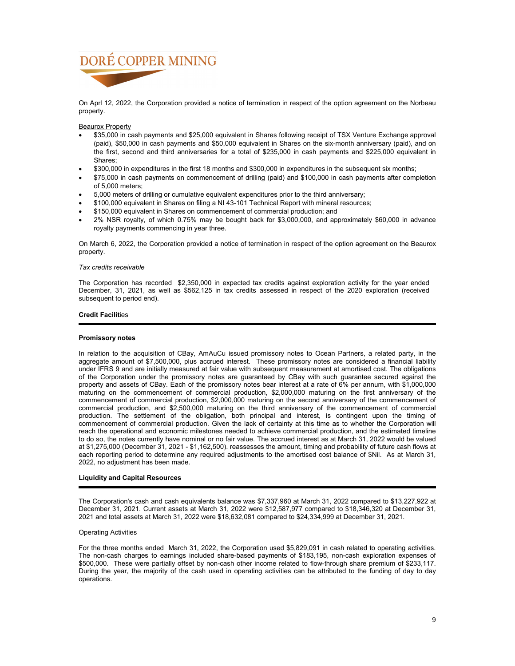On Aprl 12, 2022, the Corporation provided a notice of termination in respect of the option agreement on the Norbeau property.

## Beaurox Property

- \$35,000 in cash payments and \$25,000 equivalent in Shares following receipt of TSX Venture Exchange approval (paid), \$50,000 in cash payments and \$50,000 equivalent in Shares on the six-month anniversary (paid), and on the first, second and third anniversaries for a total of \$235,000 in cash payments and \$225,000 equivalent in Shares;
- \$300,000 in expenditures in the first 18 months and \$300,000 in expenditures in the subsequent six months;
- \$75,000 in cash payments on commencement of drilling (paid) and \$100,000 in cash payments after completion of 5,000 meters;
- 5,000 meters of drilling or cumulative equivalent expenditures prior to the third anniversary;
- \$100,000 equivalent in Shares on filing a NI 43-101 Technical Report with mineral resources;
- \$150,000 equivalent in Shares on commencement of commercial production; and
- 2% NSR royalty, of which 0.75% may be bought back for \$3,000,000, and approximately \$60,000 in advance royalty payments commencing in year three.

On March 6, 2022, the Corporation provided a notice of termination in respect of the option agreement on the Beaurox property.

## *Tax credits receivable*

The Corporation has recorded \$2,350,000 in expected tax credits against exploration activity for the year ended December, 31, 2021, as well as \$562,125 in tax credits assessed in respect of the 2020 exploration (received subsequent to period end).

## **Credit Facilit**ies

## **Promissory notes**

In relation to the acquisition of CBay, AmAuCu issued promissory notes to Ocean Partners, a related party, in the aggregate amount of \$7,500,000, plus accrued interest. These promissory notes are considered a financial liability under IFRS 9 and are initially measured at fair value with subsequent measurement at amortised cost. The obligations of the Corporation under the promissory notes are guaranteed by CBay with such guarantee secured against the property and assets of CBay. Each of the promissory notes bear interest at a rate of 6% per annum, with \$1,000,000 maturing on the commencement of commercial production, \$2,000,000 maturing on the first anniversary of the commencement of commercial production, \$2,000,000 maturing on the second anniversary of the commencement of commercial production, and \$2,500,000 maturing on the third anniversary of the commencement of commercial production. The settlement of the obligation, both principal and interest, is contingent upon the timing of commencement of commercial production. Given the lack of certainty at this time as to whether the Corporation will reach the operational and economic milestones needed to achieve commercial production, and the estimated timeline to do so, the notes currently have nominal or no fair value. The accrued interest as at March 31, 2022 would be valued at \$1,275,000 (December 31, 2021 - \$1,162,500). reassesses the amount, timing and probability of future cash flows at each reporting period to determine any required adjustments to the amortised cost balance of \$Nil. As at March 31, 2022, no adjustment has been made.

## **Liquidity and Capital Resources**

The Corporation's cash and cash equivalents balance was \$7,337,960 at March 31, 2022 compared to \$13,227,922 at December 31, 2021. Current assets at March 31, 2022 were \$12,587,977 compared to \$18,346,320 at December 31, 2021 and total assets at March 31, 2022 were \$18,632,081 compared to \$24,334,999 at December 31, 2021.

## Operating Activities

For the three months ended March 31, 2022, the Corporation used \$5,829,091 in cash related to operating activities. The non-cash charges to earnings included share-based payments of \$183,195, non-cash exploration expenses of \$500,000. These were partially offset by non-cash other income related to flow-through share premium of \$233,117. During the year, the majority of the cash used in operating activities can be attributed to the funding of day to day operations.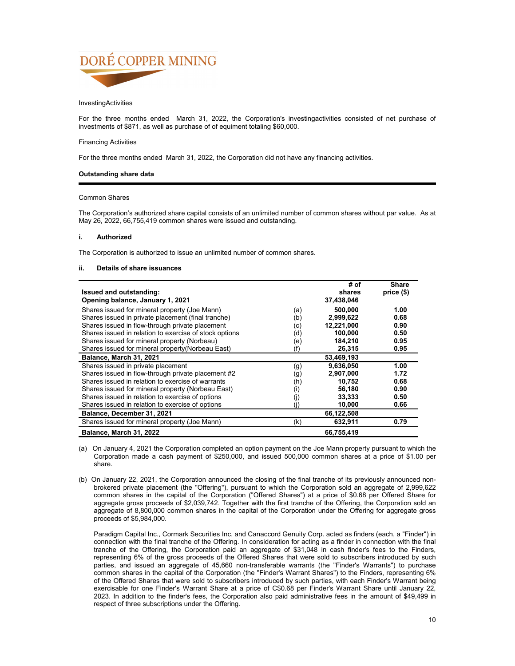## InvestingActivities

For the three months ended March 31, 2022, the Corporation's investingactivities consisted of net purchase of investments of \$871, as well as purchase of of equiment totaling \$60,000.

## Financing Activities

For the three months ended March 31, 2022, the Corporation did not have any financing activities.

## **Outstanding share data**

## Common Shares

The Corporation's authorized share capital consists of an unlimited number of common shares without par value. As at May 26, 2022, 66,755,419 common shares were issued and outstanding.

## **i. Authorized**

The Corporation is authorized to issue an unlimited number of common shares.

## **ii. Details of share issuances**

|                                                        |     | # of       | <b>Share</b> |
|--------------------------------------------------------|-----|------------|--------------|
| <b>Issued and outstanding:</b>                         |     | shares     | $price($)$   |
| Opening balance, January 1, 2021                       |     | 37,438,046 |              |
| Shares issued for mineral property (Joe Mann)          | (a) | 500.000    | 1.00         |
| Shares issued in private placement (final tranche)     | (b) | 2,999,622  | 0.68         |
| Shares issued in flow-through private placement        | (c) | 12,221,000 | 0.90         |
| Shares issued in relation to exercise of stock options | (d) | 100.000    | 0.50         |
| Shares issued for mineral property (Norbeau)           | (e) | 184,210    | 0.95         |
| Shares issued for mineral property (Norbeau East)      | (f) | 26,315     | 0.95         |
| Balance, March 31, 2021                                |     | 53,469,193 |              |
| Shares issued in private placement                     | (g) | 9,636,050  | 1.00         |
| Shares issued in flow-through private placement #2     | (g) | 2,907,000  | 1.72         |
| Shares issued in relation to exercise of warrants      | (h) | 10,752     | 0.68         |
| Shares issued for mineral property (Norbeau East)      | (i) | 56,180     | 0.90         |
| Shares issued in relation to exercise of options       | (j) | 33,333     | 0.50         |
| Shares issued in relation to exercise of options       | (i) | 10,000     | 0.66         |
| Balance, December 31, 2021                             |     | 66,122,508 |              |
| Shares issued for mineral property (Joe Mann)          | (k) | 632,911    | 0.79         |
| Balance, March 31, 2022                                |     | 66,755,419 |              |

- (a) On January 4, 2021 the Corporation completed an option payment on the Joe Mann property pursuant to which the Corporation made a cash payment of \$250,000, and issued 500,000 common shares at a price of \$1.00 per share.
- (b) On January 22, 2021, the Corporation announced the closing of the final tranche of its previously announced nonbrokered private placement (the "Offering"), pursuant to which the Corporation sold an aggregate of 2,999,622 common shares in the capital of the Corporation ("Offered Shares") at a price of \$0.68 per Offered Share for aggregate gross proceeds of \$2,039,742. Together with the first tranche of the Offering, the Corporation sold an aggregate of 8,800,000 common shares in the capital of the Corporation under the Offering for aggregate gross proceeds of \$5,984,000.

Paradigm Capital Inc., Cormark Securities Inc. and Canaccord Genuity Corp. acted as finders (each, a "Finder") in connection with the final tranche of the Offering. In consideration for acting as a finder in connection with the final tranche of the Offering, the Corporation paid an aggregate of \$31,048 in cash finder's fees to the Finders, representing 6% of the gross proceeds of the Offered Shares that were sold to subscribers introduced by such parties, and issued an aggregate of 45,660 non-transferable warrants (the "Finder's Warrants") to purchase common shares in the capital of the Corporation (the "Finder's Warrant Shares") to the Finders, representing 6% of the Offered Shares that were sold to subscribers introduced by such parties, with each Finder's Warrant being exercisable for one Finder's Warrant Share at a price of C\$0.68 per Finder's Warrant Share until January 22, 2023. In addition to the finder's fees, the Corporation also paid administrative fees in the amount of \$49,499 in respect of three subscriptions under the Offering.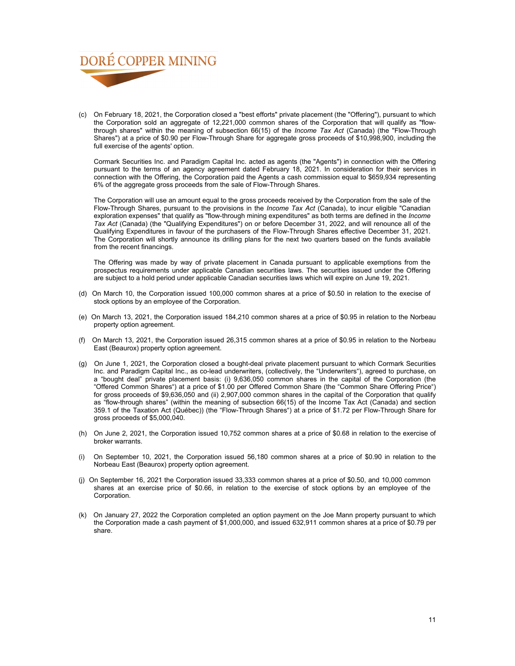

(c) On February 18, 2021, the Corporation closed a "best efforts" private placement (the "Offering"), pursuant to which the Corporation sold an aggregate of 12,221,000 common shares of the Corporation that will qualify as "flowthrough shares" within the meaning of subsection 66(15) of the *Income Tax Act* (Canada) (the "Flow-Through Shares") at a price of \$0.90 per Flow-Through Share for aggregate gross proceeds of \$10,998,900, including the full exercise of the agents' option.

Cormark Securities Inc. and Paradigm Capital Inc. acted as agents (the "Agents") in connection with the Offering pursuant to the terms of an agency agreement dated February 18, 2021. In consideration for their services in connection with the Offering, the Corporation paid the Agents a cash commission equal to \$659,934 representing 6% of the aggregate gross proceeds from the sale of Flow-Through Shares.

The Corporation will use an amount equal to the gross proceeds received by the Corporation from the sale of the Flow-Through Shares, pursuant to the provisions in the *Income Tax Act* (Canada), to incur eligible "Canadian exploration expenses" that qualify as "flow-through mining expenditures" as both terms are defined in the *Income Tax Act* (Canada) (the "Qualifying Expenditures") on or before December 31, 2022, and will renounce all of the Qualifying Expenditures in favour of the purchasers of the Flow-Through Shares effective December 31, 2021. The Corporation will shortly announce its drilling plans for the next two quarters based on the funds available from the recent financings.

The Offering was made by way of private placement in Canada pursuant to applicable exemptions from the prospectus requirements under applicable Canadian securities laws. The securities issued under the Offering are subject to a hold period under applicable Canadian securities laws which will expire on June 19, 2021.

- (d) On March 10, the Corporation issued 100,000 common shares at a price of \$0.50 in relation to the execise of stock options by an employee of the Corporation.
- (e) On March 13, 2021, the Corporation issued 184,210 common shares at a price of \$0.95 in relation to the Norbeau property option agreement.
- (f) On March 13, 2021, the Corporation issued 26,315 common shares at a price of \$0.95 in relation to the Norbeau East (Beaurox) property option agreement.
- (g) On June 1, 2021, the Corporation closed a bought-deal private placement pursuant to which Cormark Securities Inc. and Paradigm Capital Inc., as co-lead underwriters, (collectively, the "Underwriters"), agreed to purchase, on a "bought deal" private placement basis: (i) 9,636,050 common shares in the capital of the Corporation (the "Offered Common Shares") at a price of \$1.00 per Offered Common Share (the "Common Share Offering Price") for gross proceeds of \$9,636,050 and (ii) 2,907,000 common shares in the capital of the Corporation that qualify as "flow-through shares" (within the meaning of subsection 66(15) of the Income Tax Act (Canada) and section 359.1 of the Taxation Act (Québec)) (the "Flow-Through Shares") at a price of \$1.72 per Flow-Through Share for gross proceeds of \$5,000,040.
- (h) On June 2, 2021, the Corporation issued 10,752 common shares at a price of \$0.68 in relation to the exercise of broker warrants.
- (i) On September 10, 2021, the Corporation issued 56,180 common shares at a price of \$0.90 in relation to the Norbeau East (Beaurox) property option agreement.
- (j) On September 16, 2021 the Corporation issued 33,333 common shares at a price of \$0.50, and 10,000 common shares at an exercise price of \$0.66, in relation to the exercise of stock options by an employee of the Corporation.
- (k) On January 27, 2022 the Corporation completed an option payment on the Joe Mann property pursuant to which the Corporation made a cash payment of \$1,000,000, and issued 632,911 common shares at a price of \$0.79 per share.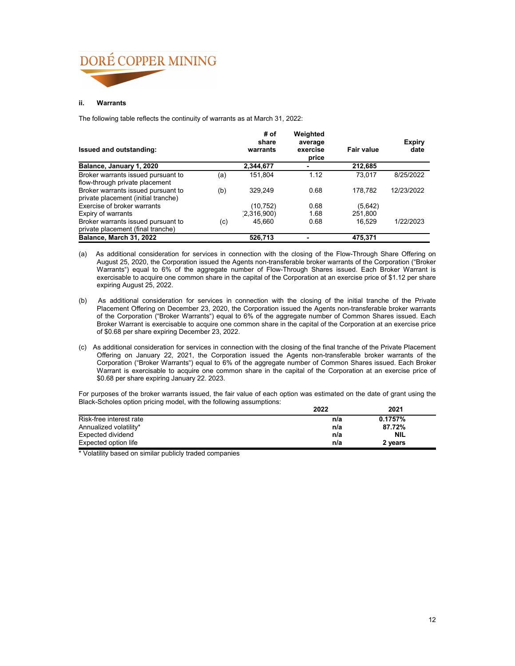## **ii. Warrants**

The following table reflects the continuity of warrants as at March 31, 2022:

| Issued and outstanding:                                                                                     |     | # of<br>share<br>warrants | Weighted<br>average<br>exercise<br>price | <b>Fair value</b> | <b>Expiry</b><br>date |
|-------------------------------------------------------------------------------------------------------------|-----|---------------------------|------------------------------------------|-------------------|-----------------------|
| Balance, January 1, 2020                                                                                    |     | 2,344,677                 |                                          | 212,685           |                       |
| Broker warrants issued pursuant to                                                                          | (a) | 151.804                   | 1.12                                     | 73.017            | 8/25/2022             |
| flow-through private placement<br>Broker warrants issued pursuant to<br>private placement (initial tranche) | (b) | 329.249                   | 0.68                                     | 178.782           | 12/23/2022            |
| Exercise of broker warrants                                                                                 |     | (10, 752)                 | 0.68                                     | (5,642)           |                       |
| Expiry of warrants                                                                                          |     | (2,316,900)               | 1.68                                     | 251,800           |                       |
| Broker warrants issued pursuant to<br>private placement (final tranche)                                     | (c) | 45.660                    | 0.68                                     | 16.529            | 1/22/2023             |
| Balance, March 31, 2022                                                                                     |     | 526,713                   |                                          | 475,371           |                       |

- (a) As additional consideration for services in connection with the closing of the Flow-Through Share Offering on August 25, 2020, the Corporation issued the Agents non-transferable broker warrants of the Corporation ("Broker Warrants") equal to 6% of the aggregate number of Flow-Through Shares issued. Each Broker Warrant is exercisable to acquire one common share in the capital of the Corporation at an exercise price of \$1.12 per share expiring August 25, 2022.
- (b) As additional consideration for services in connection with the closing of the initial tranche of the Private Placement Offering on December 23, 2020, the Corporation issued the Agents non-transferable broker warrants of the Corporation ("Broker Warrants") equal to 6% of the aggregate number of Common Shares issued. Each Broker Warrant is exercisable to acquire one common share in the capital of the Corporation at an exercise price of \$0.68 per share expiring December 23, 2022.
- (c) As additional consideration for services in connection with the closing of the final tranche of the Private Placement Offering on January 22, 2021, the Corporation issued the Agents non-transferable broker warrants of the Corporation ("Broker Warrants") equal to 6% of the aggregate number of Common Shares issued. Each Broker Warrant is exercisable to acquire one common share in the capital of the Corporation at an exercise price of \$0.68 per share expiring January 22. 2023.

For purposes of the broker warrants issued, the fair value of each option was estimated on the date of grant using the Black-Scholes option pricing model, with the following assumptions:

|                         | 2022 | 2021       |  |
|-------------------------|------|------------|--|
| Risk-free interest rate | n/a  | 0.1757%    |  |
| Annualized volatility*  | n/a  | 87.72%     |  |
| Expected dividend       | n/a  | <b>NIL</b> |  |
| Expected option life    | n/a  | 2 years    |  |

\* Volatility based on similar publicly traded companies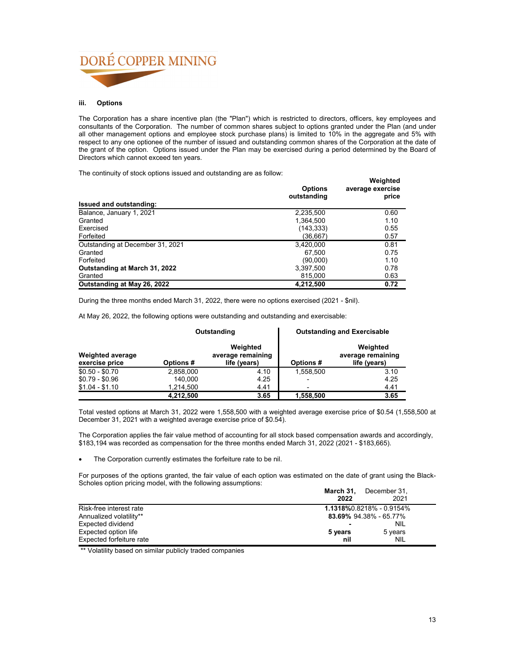## **iii. Options**

The Corporation has a share incentive plan (the "Plan") which is restricted to directors, officers, key employees and consultants of the Corporation. The number of common shares subject to options granted under the Plan (and under all other management options and employee stock purchase plans) is limited to 10% in the aggregate and 5% with respect to any one optionee of the number of issued and outstanding common shares of the Corporation at the date of the grant of the option. Options issued under the Plan may be exercised during a period determined by the Board of Directors which cannot exceed ten years.

The continuity of stock options issued and outstanding are as follow:

| The continuity of stock options issued and outstanding are as follow. | <b>Options</b><br>outstanding | Weighted<br>average exercise<br>price |
|-----------------------------------------------------------------------|-------------------------------|---------------------------------------|
| Issued and outstanding:                                               |                               |                                       |
| Balance, January 1, 2021                                              | 2,235,500                     | 0.60                                  |
| Granted                                                               | 1,364,500                     | 1.10                                  |
| Exercised                                                             | (143, 333)                    | 0.55                                  |
| Forfeited                                                             | (36,667)                      | 0.57                                  |
| Outstanding at December 31, 2021                                      | 3.420.000                     | 0.81                                  |
| Granted                                                               | 67.500                        | 0.75                                  |
| Forfeited                                                             | (90,000)                      | 1.10                                  |
| Outstanding at March 31, 2022                                         | 3.397.500                     | 0.78                                  |
| Granted                                                               | 815,000                       | 0.63                                  |
| Outstanding at May 26, 2022                                           | 4,212,500                     | 0.72                                  |

During the three months ended March 31, 2022, there were no options exercised (2021 - \$nil).

At May 26, 2022, the following options were outstanding and outstanding and exercisable:

|                                           |           | Outstanding                                   | <b>Outstanding and Exercisable</b> |                                               |
|-------------------------------------------|-----------|-----------------------------------------------|------------------------------------|-----------------------------------------------|
| <b>Weighted average</b><br>exercise price | Options#  | Weighted<br>average remaining<br>life (years) |                                    | Weighted<br>average remaining<br>life (years) |
| $$0.50 - $0.70$                           | 2,858,000 | 4.10                                          | 1.558.500                          | 3.10                                          |
| $$0.79 - $0.96$                           | 140.000   | 4.25                                          | $\overline{\phantom{0}}$           | 4.25                                          |
| $$1.04 - $1.10$                           | 1,214,500 | 4.41                                          | $\overline{\phantom{0}}$           | 4.41                                          |
|                                           | 4,212,500 | 3.65                                          | 1,558,500                          | 3.65                                          |

Total vested options at March 31, 2022 were 1,558,500 with a weighted average exercise price of \$0.54 (1,558,500 at December 31, 2021 with a weighted average exercise price of \$0.54).

The Corporation applies the fair value method of accounting for all stock based compensation awards and accordingly, \$183,194 was recorded as compensation for the three months ended March 31, 2022 (2021 - \$183,665).

The Corporation currently estimates the forfeiture rate to be nil.

For purposes of the options granted, the fair value of each option was estimated on the date of grant using the Black-Scholes option pricing model, with the following assumptions:

|                          | March 31,<br>December 31,<br>2022 | 2021       |  |
|--------------------------|-----------------------------------|------------|--|
| Risk-free interest rate  | 1.1318%0.8218% - 0.9154%          |            |  |
| Annualized volatility**  | 83.69% 94.38% - 65.77%            |            |  |
| Expected dividend        |                                   | <b>NIL</b> |  |
| Expected option life     | 5 years<br>5 years                |            |  |
| Expected forfeiture rate | nil                               | <b>NIL</b> |  |

\*\* Volatility based on similar publicly traded companies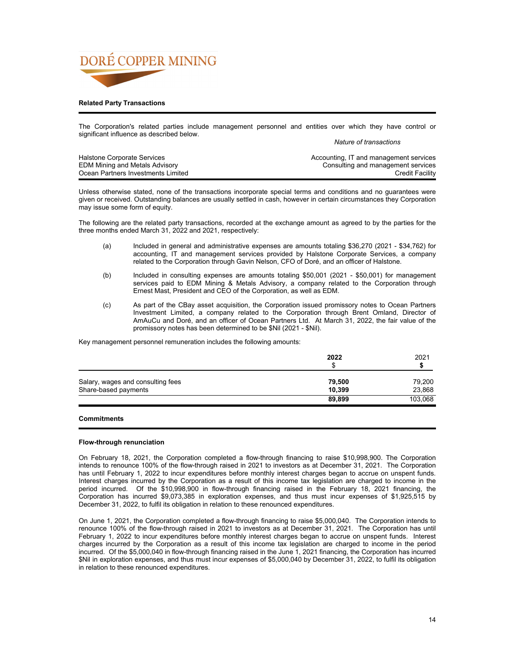

## **Related Party Transactions**

The Corporation's related parties include management personnel and entities over which they have control or significant influence as described below.

*Nature of transactions*

| <b>Halstone Corporate Services</b>    | Accounting, IT and management services |
|---------------------------------------|----------------------------------------|
| <b>EDM Mining and Metals Advisory</b> | Consulting and management services     |
| Ocean Partners Investments Limited    | <b>Credit Facility</b>                 |

Unless otherwise stated, none of the transactions incorporate special terms and conditions and no guarantees were given or received. Outstanding balances are usually settled in cash, however in certain circumstances they Corporation may issue some form of equity.

The following are the related party transactions, recorded at the exchange amount as agreed to by the parties for the three months ended March 31, 2022 and 2021, respectively:

- (a) Included in general and administrative expenses are amounts totaling \$36,270 (2021 \$34,762) for accounting, IT and management services provided by Halstone Corporate Services, a company related to the Corporation through Gavin Nelson, CFO of Doré, and an officer of Halstone.
- (b) Included in consulting expenses are amounts totaling \$50,001 (2021 \$50,001) for management services paid to EDM Mining & Metals Advisory, a company related to the Corporation through Ernest Mast, President and CEO of the Corporation, as well as EDM.
- (c) As part of the CBay asset acquisition, the Corporation issued promissory notes to Ocean Partners Investment Limited, a company related to the Corporation through Brent Omland, Director of AmAuCu and Doré, and an officer of Ocean Partners Ltd. At March 31, 2022, the fair value of the promissory notes has been determined to be \$Nil (2021 - \$Nil).

Key management personnel remuneration includes the following amounts:

|                                   | 2022<br>£. | 2021    |
|-----------------------------------|------------|---------|
| Salary, wages and consulting fees | 79.500     | 79,200  |
| Share-based payments              | 10.399     | 23,868  |
|                                   | 89,899     | 103,068 |

## **Commitments**

## **Flow-through renunciation**

On February 18, 2021, the Corporation completed a flow-through financing to raise \$10,998,900. The Corporation intends to renounce 100% of the flow-through raised in 2021 to investors as at December 31, 2021. The Corporation has until February 1, 2022 to incur expenditures before monthly interest charges began to accrue on unspent funds. Interest charges incurred by the Corporation as a result of this income tax legislation are charged to income in the period incurred. Of the \$10,998,900 in flow-through financing raised in the February 18, 2021 financing, the Corporation has incurred \$9,073,385 in exploration expenses, and thus must incur expenses of \$1,925,515 by December 31, 2022, to fulfil its obligation in relation to these renounced expenditures.

On June 1, 2021, the Corporation completed a flow-through financing to raise \$5,000,040. The Corporation intends to renounce 100% of the flow-through raised in 2021 to investors as at December 31, 2021. The Corporation has until February 1, 2022 to incur expenditures before monthly interest charges began to accrue on unspent funds. Interest charges incurred by the Corporation as a result of this income tax legislation are charged to income in the period incurred. Of the \$5,000,040 in flow-through financing raised in the June 1, 2021 financing, the Corporation has incurred \$Nil in exploration expenses, and thus must incur expenses of \$5,000,040 by December 31, 2022, to fulfil its obligation in relation to these renounced expenditures.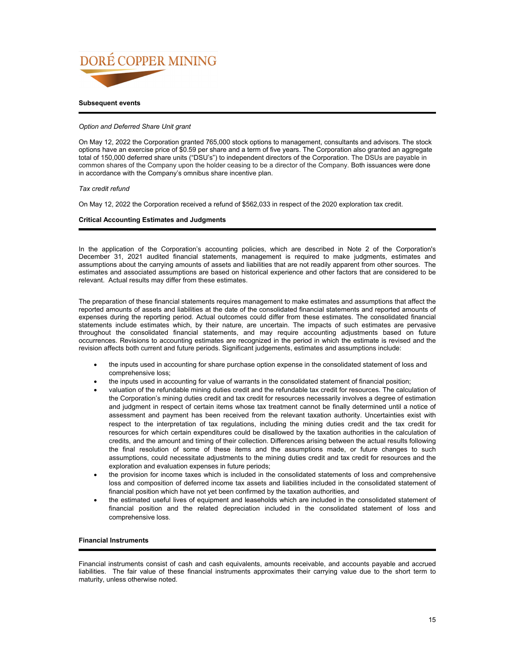

## **Subsequent events**

## *Option and Deferred Share Unit grant*

On May 12, 2022 the Corporation granted 765,000 stock options to management, consultants and advisors. The stock options have an exercise price of \$0.59 per share and a term of five years. The Corporation also granted an aggregate total of 150,000 deferred share units ("DSU's") to independent directors of the Corporation. The DSUs are payable in common shares of the Company upon the holder ceasing to be a director of the Company. Both issuances were done in accordance with the Company's omnibus share incentive plan.

## *Tax credit refund*

On May 12, 2022 the Corporation received a refund of \$562,033 in respect of the 2020 exploration tax credit.

## **Critical Accounting Estimates and Judgments**

In the application of the Corporation's accounting policies, which are described in Note 2 of the Corporation's December 31, 2021 audited financial statements, management is required to make judgments, estimates and assumptions about the carrying amounts of assets and liabilities that are not readily apparent from other sources. The estimates and associated assumptions are based on historical experience and other factors that are considered to be relevant. Actual results may differ from these estimates.

The preparation of these financial statements requires management to make estimates and assumptions that affect the reported amounts of assets and liabilities at the date of the consolidated financial statements and reported amounts of expenses during the reporting period. Actual outcomes could differ from these estimates. The consolidated financial statements include estimates which, by their nature, are uncertain. The impacts of such estimates are pervasive throughout the consolidated financial statements, and may require accounting adjustments based on future occurrences. Revisions to accounting estimates are recognized in the period in which the estimate is revised and the revision affects both current and future periods. Significant judgements, estimates and assumptions include:

- the inputs used in accounting for share purchase option expense in the consolidated statement of loss and comprehensive loss;
- the inputs used in accounting for value of warrants in the consolidated statement of financial position;
- valuation of the refundable mining duties credit and the refundable tax credit for resources. The calculation of the Corporation's mining duties credit and tax credit for resources necessarily involves a degree of estimation and judgment in respect of certain items whose tax treatment cannot be finally determined until a notice of assessment and payment has been received from the relevant taxation authority. Uncertainties exist with respect to the interpretation of tax regulations, including the mining duties credit and the tax credit for resources for which certain expenditures could be disallowed by the taxation authorities in the calculation of credits, and the amount and timing of their collection. Differences arising between the actual results following the final resolution of some of these items and the assumptions made, or future changes to such assumptions, could necessitate adjustments to the mining duties credit and tax credit for resources and the exploration and evaluation expenses in future periods;
- the provision for income taxes which is included in the consolidated statements of loss and comprehensive loss and composition of deferred income tax assets and liabilities included in the consolidated statement of financial position which have not yet been confirmed by the taxation authorities, and
- the estimated useful lives of equipment and leaseholds which are included in the consolidated statement of financial position and the related depreciation included in the consolidated statement of loss and comprehensive loss.

## **Financial Instruments**

Financial instruments consist of cash and cash equivalents, amounts receivable, and accounts payable and accrued liabilities. The fair value of these financial instruments approximates their carrying value due to the short term to maturity, unless otherwise noted.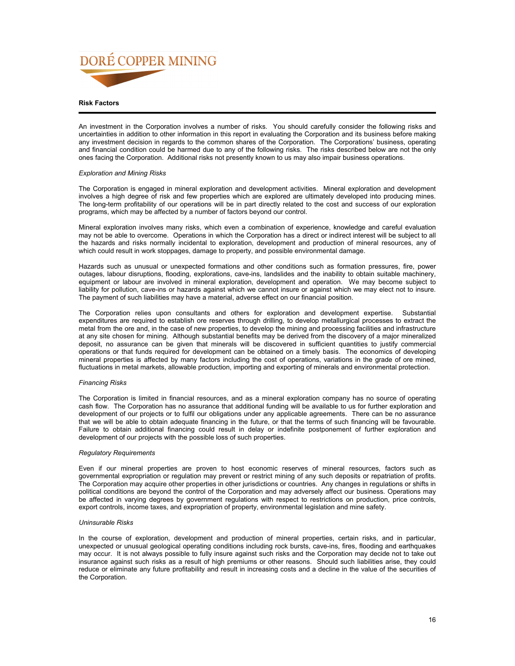

## **Risk Factors**

An investment in the Corporation involves a number of risks. You should carefully consider the following risks and uncertainties in addition to other information in this report in evaluating the Corporation and its business before making any investment decision in regards to the common shares of the Corporation. The Corporations' business, operating and financial condition could be harmed due to any of the following risks. The risks described below are not the only ones facing the Corporation. Additional risks not presently known to us may also impair business operations.

### *Exploration and Mining Risks*

The Corporation is engaged in mineral exploration and development activities. Mineral exploration and development involves a high degree of risk and few properties which are explored are ultimately developed into producing mines. The long-term profitability of our operations will be in part directly related to the cost and success of our exploration programs, which may be affected by a number of factors beyond our control.

Mineral exploration involves many risks, which even a combination of experience, knowledge and careful evaluation may not be able to overcome. Operations in which the Corporation has a direct or indirect interest will be subject to all the hazards and risks normally incidental to exploration, development and production of mineral resources, any of which could result in work stoppages, damage to property, and possible environmental damage.

Hazards such as unusual or unexpected formations and other conditions such as formation pressures, fire, power outages, labour disruptions, flooding, explorations, cave-ins, landslides and the inability to obtain suitable machinery, equipment or labour are involved in mineral exploration, development and operation. We may become subject to liability for pollution, cave-ins or hazards against which we cannot insure or against which we may elect not to insure. The payment of such liabilities may have a material, adverse effect on our financial position.

The Corporation relies upon consultants and others for exploration and development expertise. Substantial expenditures are required to establish ore reserves through drilling, to develop metallurgical processes to extract the metal from the ore and, in the case of new properties, to develop the mining and processing facilities and infrastructure at any site chosen for mining. Although substantial benefits may be derived from the discovery of a major mineralized deposit, no assurance can be given that minerals will be discovered in sufficient quantities to justify commercial operations or that funds required for development can be obtained on a timely basis. The economics of developing mineral properties is affected by many factors including the cost of operations, variations in the grade of ore mined, fluctuations in metal markets, allowable production, importing and exporting of minerals and environmental protection.

## *Financing Risks*

The Corporation is limited in financial resources, and as a mineral exploration company has no source of operating cash flow. The Corporation has no assurance that additional funding will be available to us for further exploration and development of our projects or to fulfil our obligations under any applicable agreements. There can be no assurance that we will be able to obtain adequate financing in the future, or that the terms of such financing will be favourable. Failure to obtain additional financing could result in delay or indefinite postponement of further exploration and development of our projects with the possible loss of such properties.

### *Regulatory Requirements*

Even if our mineral properties are proven to host economic reserves of mineral resources, factors such as governmental expropriation or regulation may prevent or restrict mining of any such deposits or repatriation of profits. The Corporation may acquire other properties in other jurisdictions or countries. Any changes in regulations or shifts in political conditions are beyond the control of the Corporation and may adversely affect our business. Operations may be affected in varying degrees by government regulations with respect to restrictions on production, price controls, export controls, income taxes, and expropriation of property, environmental legislation and mine safety.

## *Uninsurable Risks*

In the course of exploration, development and production of mineral properties, certain risks, and in particular, unexpected or unusual geological operating conditions including rock bursts, cave-ins, fires, flooding and earthquakes may occur. It is not always possible to fully insure against such risks and the Corporation may decide not to take out insurance against such risks as a result of high premiums or other reasons. Should such liabilities arise, they could reduce or eliminate any future profitability and result in increasing costs and a decline in the value of the securities of the Corporation.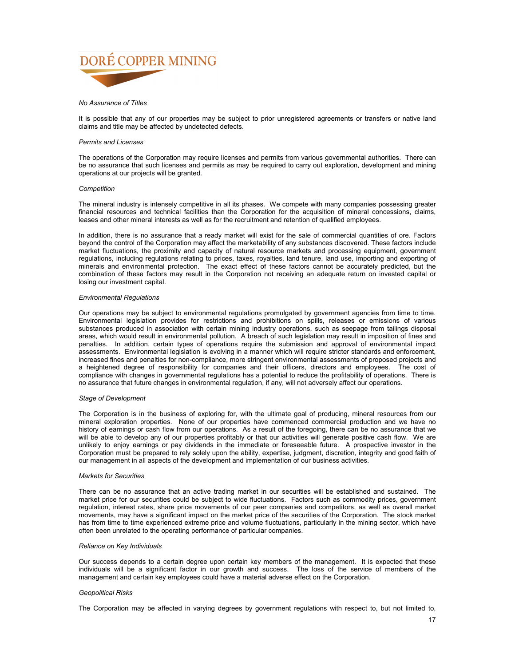## *No Assurance of Titles*

It is possible that any of our properties may be subject to prior unregistered agreements or transfers or native land claims and title may be affected by undetected defects.

## *Permits and Licenses*

The operations of the Corporation may require licenses and permits from various governmental authorities. There can be no assurance that such licenses and permits as may be required to carry out exploration, development and mining operations at our projects will be granted.

## *Competition*

The mineral industry is intensely competitive in all its phases. We compete with many companies possessing greater financial resources and technical facilities than the Corporation for the acquisition of mineral concessions, claims, leases and other mineral interests as well as for the recruitment and retention of qualified employees.

In addition, there is no assurance that a ready market will exist for the sale of commercial quantities of ore. Factors beyond the control of the Corporation may affect the marketability of any substances discovered. These factors include market fluctuations, the proximity and capacity of natural resource markets and processing equipment, government regulations, including regulations relating to prices, taxes, royalties, land tenure, land use, importing and exporting of minerals and environmental protection. The exact effect of these factors cannot be accurately predicted, but the combination of these factors may result in the Corporation not receiving an adequate return on invested capital or losing our investment capital.

## *Environmental Regulations*

Our operations may be subject to environmental regulations promulgated by government agencies from time to time. Environmental legislation provides for restrictions and prohibitions on spills, releases or emissions of various substances produced in association with certain mining industry operations, such as seepage from tailings disposal areas, which would result in environmental pollution. A breach of such legislation may result in imposition of fines and penalties. In addition, certain types of operations require the submission and approval of environmental impact assessments. Environmental legislation is evolving in a manner which will require stricter standards and enforcement, increased fines and penalties for non-compliance, more stringent environmental assessments of proposed projects and a heightened degree of responsibility for companies and their officers, directors and employees. The cost of compliance with changes in governmental regulations has a potential to reduce the profitability of operations. There is no assurance that future changes in environmental regulation, if any, will not adversely affect our operations.

## *Stage of Development*

The Corporation is in the business of exploring for, with the ultimate goal of producing, mineral resources from our mineral exploration properties. None of our properties have commenced commercial production and we have no history of earnings or cash flow from our operations. As a result of the foregoing, there can be no assurance that we will be able to develop any of our properties profitably or that our activities will generate positive cash flow. We are unlikely to enjoy earnings or pay dividends in the immediate or foreseeable future. A prospective investor in the Corporation must be prepared to rely solely upon the ability, expertise, judgment, discretion, integrity and good faith of our management in all aspects of the development and implementation of our business activities.

### *Markets for Securities*

There can be no assurance that an active trading market in our securities will be established and sustained. The market price for our securities could be subject to wide fluctuations. Factors such as commodity prices, government regulation, interest rates, share price movements of our peer companies and competitors, as well as overall market movements, may have a significant impact on the market price of the securities of the Corporation. The stock market has from time to time experienced extreme price and volume fluctuations, particularly in the mining sector, which have often been unrelated to the operating performance of particular companies.

## *Reliance on Key Individuals*

Our success depends to a certain degree upon certain key members of the management. It is expected that these individuals will be a significant factor in our growth and success. The loss of the service of members of the management and certain key employees could have a material adverse effect on the Corporation.

## *Geopolitical Risks*

The Corporation may be affected in varying degrees by government regulations with respect to, but not limited to,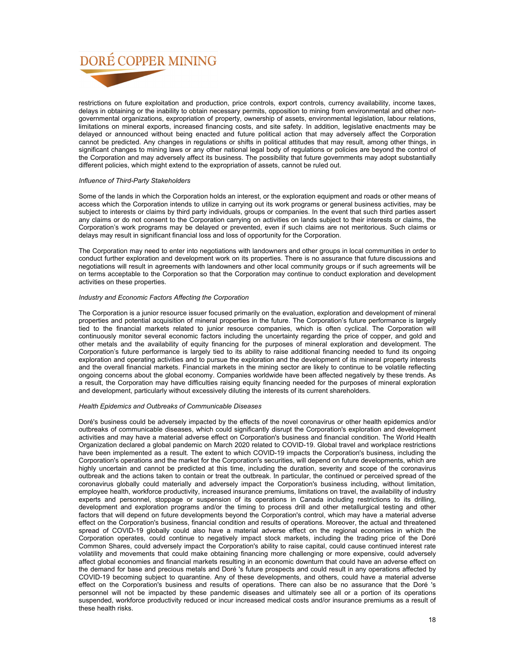restrictions on future exploitation and production, price controls, export controls, currency availability, income taxes, delays in obtaining or the inability to obtain necessary permits, opposition to mining from environmental and other nongovernmental organizations, expropriation of property, ownership of assets, environmental legislation, labour relations, limitations on mineral exports, increased financing costs, and site safety. In addition, legislative enactments may be delayed or announced without being enacted and future political action that may adversely affect the Corporation cannot be predicted. Any changes in regulations or shifts in political attitudes that may result, among other things, in significant changes to mining laws or any other national legal body of regulations or policies are beyond the control of the Corporation and may adversely affect its business. The possibility that future governments may adopt substantially different policies, which might extend to the expropriation of assets, cannot be ruled out.

## *Influence of Third-Party Stakeholders*

Some of the lands in which the Corporation holds an interest, or the exploration equipment and roads or other means of access which the Corporation intends to utilize in carrying out its work programs or general business activities, may be subject to interests or claims by third party individuals, groups or companies. In the event that such third parties assert any claims or do not consent to the Corporation carrying on activities on lands subject to their interests or claims, the Corporation's work programs may be delayed or prevented, even if such claims are not meritorious. Such claims or delays may result in significant financial loss and loss of opportunity for the Corporation.

The Corporation may need to enter into negotiations with landowners and other groups in local communities in order to conduct further exploration and development work on its properties. There is no assurance that future discussions and negotiations will result in agreements with landowners and other local community groups or if such agreements will be on terms acceptable to the Corporation so that the Corporation may continue to conduct exploration and development activities on these properties.

## *Industry and Economic Factors Affecting the Corporation*

The Corporation is a junior resource issuer focused primarily on the evaluation, exploration and development of mineral properties and potential acquisition of mineral properties in the future. The Corporation's future performance is largely tied to the financial markets related to junior resource companies, which is often cyclical. The Corporation will continuously monitor several economic factors including the uncertainty regarding the price of copper, and gold and other metals and the availability of equity financing for the purposes of mineral exploration and development. The Corporation's future performance is largely tied to its ability to raise additional financing needed to fund its ongoing exploration and operating activities and to pursue the exploration and the development of its mineral property interests and the overall financial markets. Financial markets in the mining sector are likely to continue to be volatile reflecting ongoing concerns about the global economy. Companies worldwide have been affected negatively by these trends. As a result, the Corporation may have difficulties raising equity financing needed for the purposes of mineral exploration and development, particularly without excessively diluting the interests of its current shareholders.

## *Health Epidemics and Outbreaks of Communicable Diseases*

Doré's business could be adversely impacted by the effects of the novel coronavirus or other health epidemics and/or outbreaks of communicable diseases, which could significantly disrupt the Corporation's exploration and development activities and may have a material adverse effect on Corporation's business and financial condition. The World Health Organization declared a global pandemic on March 2020 related to COVID-19. Global travel and workplace restrictions have been implemented as a result. The extent to which COVID-19 impacts the Corporation's business, including the Corporation's operations and the market for the Corporation's securities, will depend on future developments, which are highly uncertain and cannot be predicted at this time, including the duration, severity and scope of the coronavirus outbreak and the actions taken to contain or treat the outbreak. In particular, the continued or perceived spread of the coronavirus globally could materially and adversely impact the Corporation's business including, without limitation, employee health, workforce productivity, increased insurance premiums, limitations on travel, the availability of industry experts and personnel, stoppage or suspension of its operations in Canada including restrictions to its drilling, development and exploration programs and/or the timing to process drill and other metallurgical testing and other factors that will depend on future developments beyond the Corporation's control, which may have a material adverse effect on the Corporation's business, financial condition and results of operations. Moreover, the actual and threatened spread of COVID-19 globally could also have a material adverse effect on the regional economies in which the Corporation operates, could continue to negatively impact stock markets, including the trading price of the Doré Common Shares, could adversely impact the Corporation's ability to raise capital, could cause continued interest rate volatility and movements that could make obtaining financing more challenging or more expensive, could adversely affect global economies and financial markets resulting in an economic downturn that could have an adverse effect on the demand for base and precious metals and Doré 's future prospects and could result in any operations affected by COVID-19 becoming subject to quarantine. Any of these developments, and others, could have a material adverse effect on the Corporation's business and results of operations. There can also be no assurance that the Doré 's personnel will not be impacted by these pandemic diseases and ultimately see all or a portion of its operations suspended, workforce productivity reduced or incur increased medical costs and/or insurance premiums as a result of these health risks.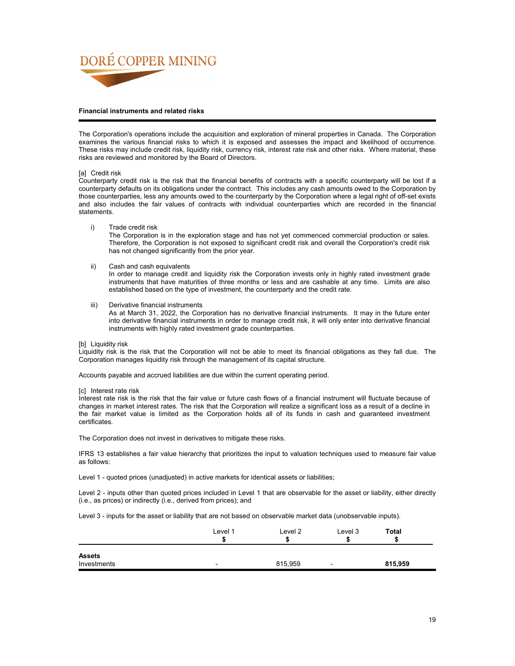

## **Financial instruments and related risks**

The Corporation's operations include the acquisition and exploration of mineral properties in Canada. The Corporation examines the various financial risks to which it is exposed and assesses the impact and likelihood of occurrence. These risks may include credit risk, liquidity risk, currency risk, interest rate risk and other risks. Where material, these risks are reviewed and monitored by the Board of Directors.

## [a] Credit risk

Counterparty credit risk is the risk that the financial benefits of contracts with a specific counterparty will be lost if a counterparty defaults on its obligations under the contract. This includes any cash amounts owed to the Corporation by those counterparties, less any amounts owed to the counterparty by the Corporation where a legal right of off-set exists and also includes the fair values of contracts with individual counterparties which are recorded in the financial statements.

i) Trade credit risk

The Corporation is in the exploration stage and has not yet commenced commercial production or sales. Therefore, the Corporation is not exposed to significant credit risk and overall the Corporation's credit risk has not changed significantly from the prior year.

## ii) Cash and cash equivalents

In order to manage credit and liquidity risk the Corporation invests only in highly rated investment grade instruments that have maturities of three months or less and are cashable at any time. Limits are also established based on the type of investment, the counterparty and the credit rate.

iii) Derivative financial instruments

As at March 31, 2022, the Corporation has no derivative financial instruments. It may in the future enter into derivative financial instruments in order to manage credit risk, it will only enter into derivative financial instruments with highly rated investment grade counterparties.

## [b] Liquidity risk

Liquidity risk is the risk that the Corporation will not be able to meet its financial obligations as they fall due. The Corporation manages liquidity risk through the management of its capital structure.

Accounts payable and accrued liabilities are due within the current operating period.

### [c] Interest rate risk

Interest rate risk is the risk that the fair value or future cash flows of a financial instrument will fluctuate because of changes in market interest rates. The risk that the Corporation will realize a significant loss as a result of a decline in the fair market value is limited as the Corporation holds all of its funds in cash and guaranteed investment certificates.

The Corporation does not invest in derivatives to mitigate these risks.

IFRS 13 establishes a fair value hierarchy that prioritizes the input to valuation techniques used to measure fair value as follows:

Level 1 - quoted prices (unadjusted) in active markets for identical assets or liabilities;

Level 2 - inputs other than quoted prices included in Level 1 that are observable for the asset or liability, either directly (i.e., as prices) or indirectly (i.e., derived from prices); and

Level 3 - inputs for the asset or liability that are not based on observable market data (unobservable inputs).

|                              | Level 1<br>ъD            | Level 2 | Level 3                  | <b>Total</b> |
|------------------------------|--------------------------|---------|--------------------------|--------------|
| <b>Assets</b><br>Investments | $\overline{\phantom{0}}$ | 815,959 | $\overline{\phantom{0}}$ | 815,959      |